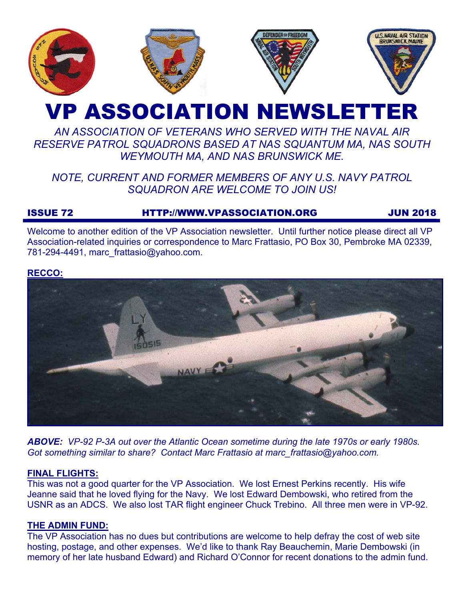

# VP ASSOCIATION NEWSLETTER

# *AN ASSOCIATION OF VETERANS WHO SERVED WITH THE NAVAL AIR RESERVE PATROL SQUADRONS BASED AT NAS SQUANTUM MA, NAS SOUTH WEYMOUTH MA, AND NAS BRUNSWICK ME.*

# *NOTE, CURRENT AND FORMER MEMBERS OF ANY U.S. NAVY PATROL SQUADRON ARE WELCOME TO JOIN US!*

## ISSUE 72 HTTP://WWW.VPASSOCIATION.ORG JUN 2018

Welcome to another edition of the VP Association newsletter. Until further notice please direct all VP Association-related inquiries or correspondence to Marc Frattasio, PO Box 30, Pembroke MA 02339, 781-294-4491, marc\_frattasio@yahoo.com.

#### **RECCO:**



*ABOVE: VP-92 P-3A out over the Atlantic Ocean sometime during the late 1970s or early 1980s. Got something similar to share? Contact Marc Frattasio at marc\_frattasio@yahoo.com.* 

#### **FINAL FLIGHTS:**

This was not a good quarter for the VP Association. We lost Ernest Perkins recently. His wife Jeanne said that he loved flying for the Navy. We lost Edward Dembowski, who retired from the USNR as an ADCS. We also lost TAR flight engineer Chuck Trebino. All three men were in VP-92.

#### **THE ADMIN FUND:**

The VP Association has no dues but contributions are welcome to help defray the cost of web site hosting, postage, and other expenses. We'd like to thank Ray Beauchemin, Marie Dembowski (in memory of her late husband Edward) and Richard O'Connor for recent donations to the admin fund.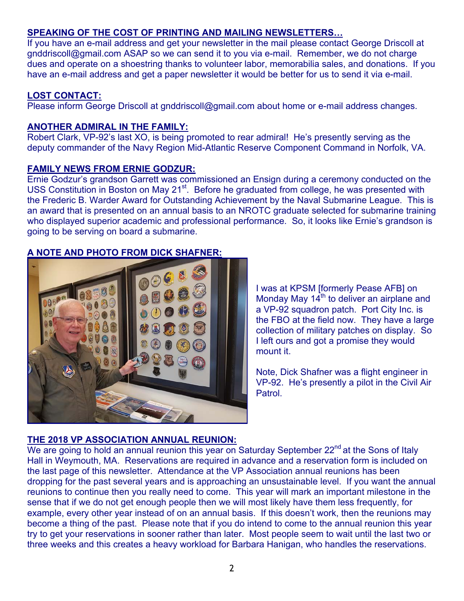### **SPEAKING OF THE COST OF PRINTING AND MAILING NEWSLETTERS…**

If you have an e-mail address and get your newsletter in the mail please contact George Driscoll at gnddriscoll@gmail.com ASAP so we can send it to you via e-mail. Remember, we do not charge dues and operate on a shoestring thanks to volunteer labor, memorabilia sales, and donations. If you have an e-mail address and get a paper newsletter it would be better for us to send it via e-mail.

#### **LOST CONTACT:**

Please inform George Driscoll at gnddriscoll@gmail.com about home or e-mail address changes.

#### **ANOTHER ADMIRAL IN THE FAMILY:**

Robert Clark, VP-92's last XO, is being promoted to rear admiral! He's presently serving as the deputy commander of the Navy Region Mid-Atlantic Reserve Component Command in Norfolk, VA.

#### **FAMILY NEWS FROM ERNIE GODZUR:**

Ernie Godzur's grandson Garrett was commissioned an Ensign during a ceremony conducted on the USS Constitution in Boston on May 21<sup>st</sup>. Before he graduated from college, he was presented with the Frederic B. Warder Award for Outstanding Achievement by the Naval Submarine League. This is an award that is presented on an annual basis to an NROTC graduate selected for submarine training who displayed superior academic and professional performance. So, it looks like Ernie's grandson is going to be serving on board a submarine.

#### **A NOTE AND PHOTO FROM DICK SHAFNER:**



I was at KPSM [formerly Pease AFB] on Monday May  $14<sup>th</sup>$  to deliver an airplane and a VP-92 squadron patch. Port City Inc. is the FBO at the field now. They have a large collection of military patches on display. So I left ours and got a promise they would mount it.

Note, Dick Shafner was a flight engineer in VP-92. He's presently a pilot in the Civil Air **Patrol** 

#### **THE 2018 VP ASSOCIATION ANNUAL REUNION:**

We are going to hold an annual reunion this year on Saturday September 22<sup>nd</sup> at the Sons of Italy Hall in Weymouth, MA. Reservations are required in advance and a reservation form is included on the last page of this newsletter. Attendance at the VP Association annual reunions has been dropping for the past several years and is approaching an unsustainable level. If you want the annual reunions to continue then you really need to come. This year will mark an important milestone in the sense that if we do not get enough people then we will most likely have them less frequently, for example, every other year instead of on an annual basis. If this doesn't work, then the reunions may become a thing of the past. Please note that if you do intend to come to the annual reunion this year try to get your reservations in sooner rather than later. Most people seem to wait until the last two or three weeks and this creates a heavy workload for Barbara Hanigan, who handles the reservations.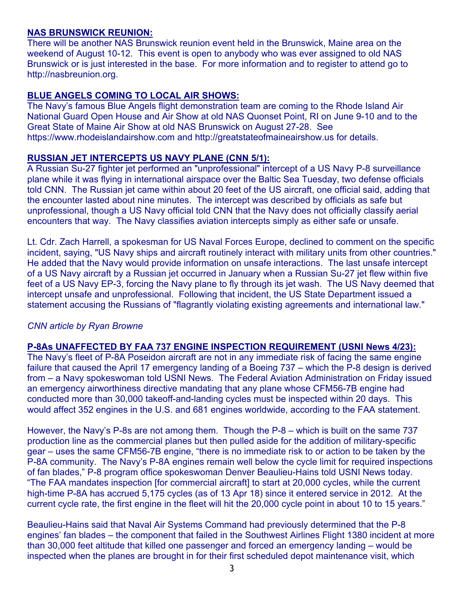#### **NAS BRUNSWICK REUNION:**

There will be another NAS Brunswick reunion event held in the Brunswick, Maine area on the weekend of August 10-12. This event is open to anybody who was ever assigned to old NAS Brunswick or is just interested in the base. For more information and to register to attend go to http://nasbreunion.org.

#### **BLUE ANGELS COMING TO LOCAL AIR SHOWS:**

The Navy's famous Blue Angels flight demonstration team are coming to the Rhode Island Air National Guard Open House and Air Show at old NAS Quonset Point, RI on June 9-10 and to the Great State of Maine Air Show at old NAS Brunswick on August 27-28. See https://www.rhodeislandairshow.com and http://greatstateofmaineairshow.us for details.

#### **RUSSIAN JET INTERCEPTS US NAVY PLANE (CNN 5/1):**

A Russian Su-27 fighter jet performed an "unprofessional" intercept of a US Navy P-8 surveillance plane while it was flying in international airspace over the Baltic Sea Tuesday, two defense officials told CNN. The Russian jet came within about 20 feet of the US aircraft, one official said, adding that the encounter lasted about nine minutes. The intercept was described by officials as safe but unprofessional, though a US Navy official told CNN that the Navy does not officially classify aerial encounters that way. The Navy classifies aviation intercepts simply as either safe or unsafe.

Lt. Cdr. Zach Harrell, a spokesman for US Naval Forces Europe, declined to comment on the specific incident, saying, "US Navy ships and aircraft routinely interact with military units from other countries." He added that the Navy would provide information on unsafe interactions. The last unsafe intercept of a US Navy aircraft by a Russian jet occurred in January when a Russian Su-27 jet flew within five feet of a US Navy EP-3, forcing the Navy plane to fly through its jet wash. The US Navy deemed that intercept unsafe and unprofessional. Following that incident, the US State Department issued a statement accusing the Russians of "flagrantly violating existing agreements and international law."

#### *CNN article by Ryan Browne*

#### **P-8As UNAFFECTED BY FAA 737 ENGINE INSPECTION REQUIREMENT (USNI News 4/23):**

The Navy's fleet of P-8A Poseidon aircraft are not in any immediate risk of facing the same engine failure that caused the April 17 emergency landing of a Boeing 737 – which the P-8 design is derived from – a Navy spokeswoman told USNI News. The Federal Aviation Administration on Friday issued an emergency airworthiness directive mandating that any plane whose CFM56-7B engine had conducted more than 30,000 takeoff-and-landing cycles must be inspected within 20 days. This would affect 352 engines in the U.S. and 681 engines worldwide, according to the FAA statement.

However, the Navy's P-8s are not among them. Though the P-8 – which is built on the same 737 production line as the commercial planes but then pulled aside for the addition of military-specific gear – uses the same CFM56-7B engine, "there is no immediate risk to or action to be taken by the P-8A community. The Navy's P-8A engines remain well below the cycle limit for required inspections of fan blades," P-8 program office spokeswoman Denver Beaulieu-Hains told USNI News today. "The FAA mandates inspection [for commercial aircraft] to start at 20,000 cycles, while the current high-time P-8A has accrued 5,175 cycles (as of 13 Apr 18) since it entered service in 2012. At the current cycle rate, the first engine in the fleet will hit the 20,000 cycle point in about 10 to 15 years."

Beaulieu-Hains said that Naval Air Systems Command had previously determined that the P-8 engines' fan blades – the component that failed in the Southwest Airlines Flight 1380 incident at more than 30,000 feet altitude that killed one passenger and forced an emergency landing – would be inspected when the planes are brought in for their first scheduled depot maintenance visit, which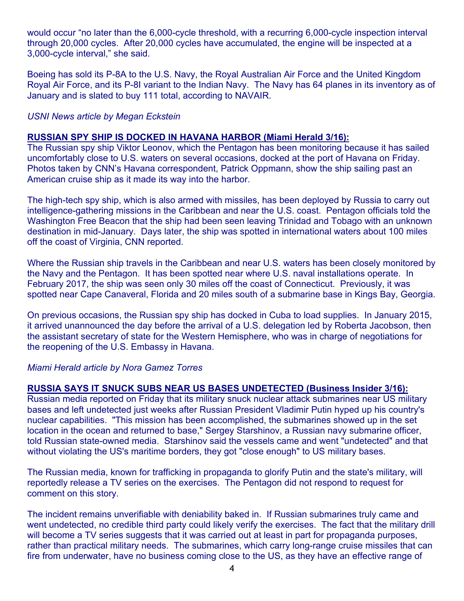would occur "no later than the 6,000-cycle threshold, with a recurring 6,000-cycle inspection interval through 20,000 cycles. After 20,000 cycles have accumulated, the engine will be inspected at a 3,000-cycle interval," she said.

Boeing has sold its P-8A to the U.S. Navy, the Royal Australian Air Force and the United Kingdom Royal Air Force, and its P-8I variant to the Indian Navy. The Navy has 64 planes in its inventory as of January and is slated to buy 111 total, according to NAVAIR.

#### *USNI News article by Megan Eckstein*

#### **RUSSIAN SPY SHIP IS DOCKED IN HAVANA HARBOR (Miami Herald 3/16):**

The Russian spy ship Viktor Leonov, which the Pentagon has been monitoring because it has sailed uncomfortably close to U.S. waters on several occasions, docked at the port of Havana on Friday. Photos taken by CNN's Havana correspondent, Patrick Oppmann, show the ship sailing past an American cruise ship as it made its way into the harbor.

The high-tech spy ship, which is also armed with missiles, has been deployed by Russia to carry out intelligence-gathering missions in the Caribbean and near the U.S. coast. Pentagon officials told the Washington Free Beacon that the ship had been seen leaving Trinidad and Tobago with an unknown destination in mid-January. Days later, the ship was spotted in international waters about 100 miles off the coast of Virginia, CNN reported.

Where the Russian ship travels in the Caribbean and near U.S. waters has been closely monitored by the Navy and the Pentagon. It has been spotted near where U.S. naval installations operate. In February 2017, the ship was seen only 30 miles off the coast of Connecticut. Previously, it was spotted near Cape Canaveral, Florida and 20 miles south of a submarine base in Kings Bay, Georgia.

On previous occasions, the Russian spy ship has docked in Cuba to load supplies. In January 2015, it arrived unannounced the day before the arrival of a U.S. delegation led by Roberta Jacobson, then the assistant secretary of state for the Western Hemisphere, who was in charge of negotiations for the reopening of the U.S. Embassy in Havana.

#### *Miami Herald article by Nora Gamez Torres*

#### **RUSSIA SAYS IT SNUCK SUBS NEAR US BASES UNDETECTED (Business Insider 3/16):**

Russian media reported on Friday that its military snuck nuclear attack submarines near US military bases and left undetected just weeks after Russian President Vladimir Putin hyped up his country's nuclear capabilities. "This mission has been accomplished, the submarines showed up in the set location in the ocean and returned to base," Sergey Starshinov, a Russian navy submarine officer, told Russian state-owned media. Starshinov said the vessels came and went "undetected" and that without violating the US's maritime borders, they got "close enough" to US military bases.

The Russian media, known for trafficking in propaganda to glorify Putin and the state's military, will reportedly release a TV series on the exercises. The Pentagon did not respond to request for comment on this story.

The incident remains unverifiable with deniability baked in. If Russian submarines truly came and went undetected, no credible third party could likely verify the exercises. The fact that the military drill will become a TV series suggests that it was carried out at least in part for propaganda purposes, rather than practical military needs. The submarines, which carry long-range cruise missiles that can fire from underwater, have no business coming close to the US, as they have an effective range of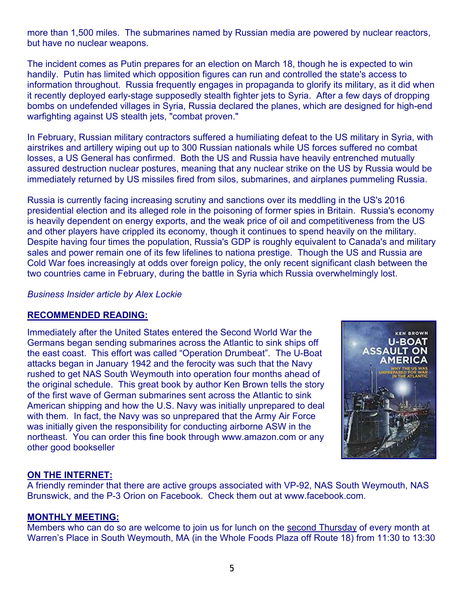more than 1,500 miles. The submarines named by Russian media are powered by nuclear reactors, but have no nuclear weapons.

The incident comes as Putin prepares for an election on March 18, though he is expected to win handily. Putin has limited which opposition figures can run and controlled the state's access to information throughout. Russia frequently engages in propaganda to glorify its military, as it did when it recently deployed early-stage supposedly stealth fighter jets to Syria. After a few days of dropping bombs on undefended villages in Syria, Russia declared the planes, which are designed for high-end warfighting against US stealth jets, "combat proven."

In February, Russian military contractors suffered a humiliating defeat to the US military in Syria, with airstrikes and artillery wiping out up to 300 Russian nationals while US forces suffered no combat losses, a US General has confirmed. Both the US and Russia have heavily entrenched mutually assured destruction nuclear postures, meaning that any nuclear strike on the US by Russia would be immediately returned by US missiles fired from silos, submarines, and airplanes pummeling Russia.

Russia is currently facing increasing scrutiny and sanctions over its meddling in the US's 2016 presidential election and its alleged role in the poisoning of former spies in Britain. Russia's economy is heavily dependent on energy exports, and the weak price of oil and competitiveness from the US and other players have crippled its economy, though it continues to spend heavily on the military. Despite having four times the population, Russia's GDP is roughly equivalent to Canada's and military sales and power remain one of its few lifelines to nationa prestige. Though the US and Russia are Cold War foes increasingly at odds over foreign policy, the only recent significant clash between the two countries came in February, during the battle in Syria which Russia overwhelmingly lost.

*Business Insider article by Alex Lockie* 

#### **RECOMMENDED READING:**

Immediately after the United States entered the Second World War the Germans began sending submarines across the Atlantic to sink ships off the east coast. This effort was called "Operation Drumbeat". The U-Boat attacks began in January 1942 and the ferocity was such that the Navy rushed to get NAS South Weymouth into operation four months ahead of the original schedule. This great book by author Ken Brown tells the story of the first wave of German submarines sent across the Atlantic to sink American shipping and how the U.S. Navy was initially unprepared to deal with them. In fact, the Navy was so unprepared that the Army Air Force was initially given the responsibility for conducting airborne ASW in the northeast. You can order this fine book through www.amazon.com or any other good bookseller



#### **ON THE INTERNET:**

A friendly reminder that there are active groups associated with VP-92, NAS South Weymouth, NAS Brunswick, and the P-3 Orion on Facebook. Check them out at www.facebook.com.

#### **MONTHLY MEETING:**

Members who can do so are welcome to join us for lunch on the second Thursday of every month at Warren's Place in South Weymouth, MA (in the Whole Foods Plaza off Route 18) from 11:30 to 13:30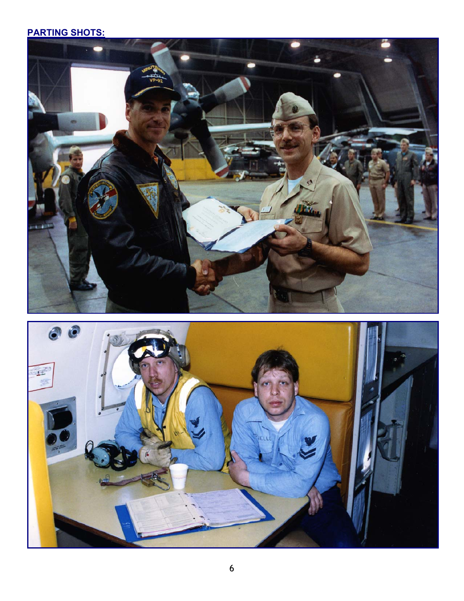# **PARTING SHOTS:**



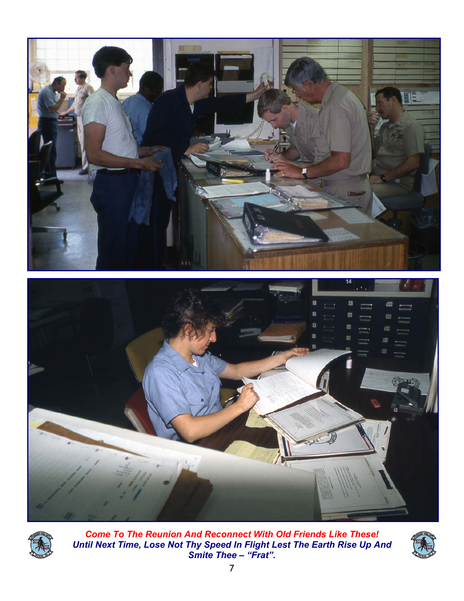



*Come To The Reunion And Reconnect With Old Friends Like These! Until Next Time, Lose Not Thy Speed In Flight Lest The Earth Rise Up And Smite Thee – "Frat".*